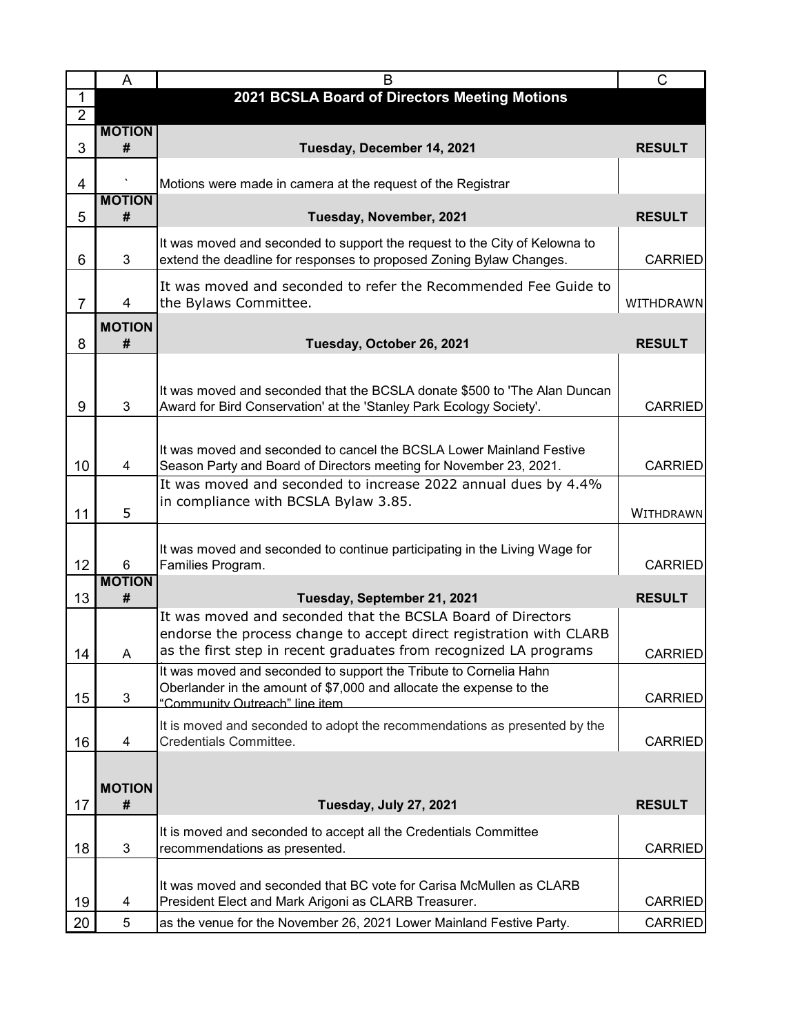|                 | A                  | B                                                                                                                                                | $\mathsf C$    |
|-----------------|--------------------|--------------------------------------------------------------------------------------------------------------------------------------------------|----------------|
| $\mathbf 1$     |                    | 2021 BCSLA Board of Directors Meeting Motions                                                                                                    |                |
| $\overline{2}$  |                    |                                                                                                                                                  |                |
| 3               | <b>MOTION</b><br># | Tuesday, December 14, 2021                                                                                                                       | <b>RESULT</b>  |
|                 |                    |                                                                                                                                                  |                |
| 4               |                    | Motions were made in camera at the request of the Registrar                                                                                      |                |
|                 | <b>MOTION</b>      |                                                                                                                                                  |                |
| 5               | #                  | Tuesday, November, 2021                                                                                                                          | <b>RESULT</b>  |
|                 |                    | It was moved and seconded to support the request to the City of Kelowna to                                                                       |                |
| 6               | 3                  | extend the deadline for responses to proposed Zoning Bylaw Changes.                                                                              | <b>CARRIED</b> |
|                 |                    | It was moved and seconded to refer the Recommended Fee Guide to                                                                                  |                |
| $\overline{7}$  | $\overline{4}$     | the Bylaws Committee.                                                                                                                            | WITHDRAWN      |
|                 | <b>MOTION</b>      |                                                                                                                                                  |                |
| 8               | #                  | Tuesday, October 26, 2021                                                                                                                        | <b>RESULT</b>  |
|                 |                    |                                                                                                                                                  |                |
|                 |                    |                                                                                                                                                  |                |
| 9               | 3                  | It was moved and seconded that the BCSLA donate \$500 to 'The Alan Duncan<br>Award for Bird Conservation' at the 'Stanley Park Ecology Society'. | <b>CARRIED</b> |
|                 |                    |                                                                                                                                                  |                |
|                 |                    |                                                                                                                                                  |                |
| 10              |                    | It was moved and seconded to cancel the BCSLA Lower Mainland Festive                                                                             | <b>CARRIED</b> |
|                 | 4                  | Season Party and Board of Directors meeting for November 23, 2021.<br>It was moved and seconded to increase 2022 annual dues by 4.4%             |                |
|                 |                    | in compliance with BCSLA Bylaw 3.85.                                                                                                             |                |
| 11              | 5                  |                                                                                                                                                  | WITHDRAWN      |
|                 |                    |                                                                                                                                                  |                |
| 12 <sub>2</sub> |                    | It was moved and seconded to continue participating in the Living Wage for<br>Families Program.                                                  | <b>CARRIED</b> |
|                 | 6<br><b>MOTION</b> |                                                                                                                                                  |                |
| 13              | #                  | Tuesday, September 21, 2021                                                                                                                      | <b>RESULT</b>  |
|                 |                    | It was moved and seconded that the BCSLA Board of Directors                                                                                      |                |
|                 |                    | endorse the process change to accept direct registration with CLARB                                                                              |                |
| 14              | A                  | as the first step in recent graduates from recognized LA programs                                                                                | <b>CARRIED</b> |
|                 |                    | It was moved and seconded to support the Tribute to Cornelia Hahn                                                                                |                |
| 15              | 3                  | Oberlander in the amount of \$7,000 and allocate the expense to the<br>"Community Outreach" line item                                            | <b>CARRIED</b> |
|                 |                    |                                                                                                                                                  |                |
| 16              | 4                  | It is moved and seconded to adopt the recommendations as presented by the<br>Credentials Committee.                                              | <b>CARRIED</b> |
|                 |                    |                                                                                                                                                  |                |
|                 |                    |                                                                                                                                                  |                |
|                 | <b>MOTION</b><br># |                                                                                                                                                  |                |
| 17              |                    | Tuesday, July 27, 2021                                                                                                                           | <b>RESULT</b>  |
|                 |                    | It is moved and seconded to accept all the Credentials Committee                                                                                 |                |
| 18              | 3                  | recommendations as presented.                                                                                                                    | <b>CARRIED</b> |
|                 |                    |                                                                                                                                                  |                |
| 19              | 4                  | It was moved and seconded that BC vote for Carisa McMullen as CLARB<br>President Elect and Mark Arigoni as CLARB Treasurer.                      | <b>CARRIED</b> |
| 20              | 5                  | as the venue for the November 26, 2021 Lower Mainland Festive Party.                                                                             | <b>CARRIED</b> |
|                 |                    |                                                                                                                                                  |                |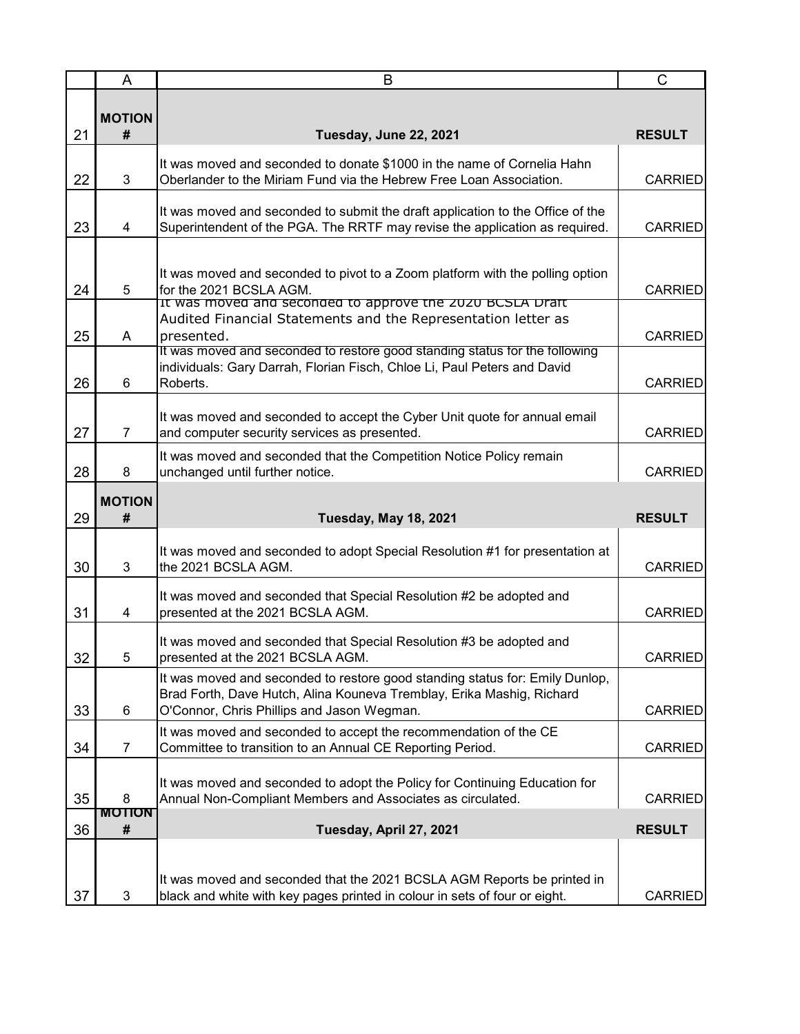|    | A                  | B                                                                                                                                                                                                   | $\mathsf C$    |
|----|--------------------|-----------------------------------------------------------------------------------------------------------------------------------------------------------------------------------------------------|----------------|
|    | <b>MOTION</b>      |                                                                                                                                                                                                     |                |
| 21 | #                  | Tuesday, June 22, 2021                                                                                                                                                                              | <b>RESULT</b>  |
| 22 | 3                  | It was moved and seconded to donate \$1000 in the name of Cornelia Hahn<br>Oberlander to the Miriam Fund via the Hebrew Free Loan Association.                                                      | <b>CARRIED</b> |
| 23 | 4                  | It was moved and seconded to submit the draft application to the Office of the<br>Superintendent of the PGA. The RRTF may revise the application as required.                                       | <b>CARRIED</b> |
| 24 | 5                  | It was moved and seconded to pivot to a Zoom platform with the polling option<br>for the 2021 BCSLA AGM.                                                                                            | <b>CARRIED</b> |
| 25 | A                  | It was moved and seconded to approve the 2020 BCSLA Draft<br>Audited Financial Statements and the Representation letter as<br>presented.                                                            | <b>CARRIED</b> |
| 26 | 6                  | It was moved and seconded to restore good standing status for the following<br>individuals: Gary Darrah, Florian Fisch, Chloe Li, Paul Peters and David<br>Roberts.                                 | <b>CARRIED</b> |
| 27 | $\overline{7}$     | It was moved and seconded to accept the Cyber Unit quote for annual email<br>and computer security services as presented.                                                                           | <b>CARRIED</b> |
| 28 | 8                  | It was moved and seconded that the Competition Notice Policy remain<br>unchanged until further notice.                                                                                              | <b>CARRIED</b> |
| 29 | <b>MOTION</b><br># | <b>Tuesday, May 18, 2021</b>                                                                                                                                                                        | <b>RESULT</b>  |
| 30 | 3                  | It was moved and seconded to adopt Special Resolution #1 for presentation at<br>the 2021 BCSLA AGM.                                                                                                 | <b>CARRIED</b> |
| 31 | 4                  | It was moved and seconded that Special Resolution #2 be adopted and<br>presented at the 2021 BCSLA AGM.                                                                                             | <b>CARRIED</b> |
| 32 | 5                  | It was moved and seconded that Special Resolution #3 be adopted and<br>presented at the 2021 BCSLA AGM.                                                                                             | CARRIED        |
| 33 | $6\phantom{1}6$    | It was moved and seconded to restore good standing status for: Emily Dunlop,<br>Brad Forth, Dave Hutch, Alina Kouneva Tremblay, Erika Mashig, Richard<br>O'Connor, Chris Phillips and Jason Wegman. | <b>CARRIED</b> |
| 34 | $\overline{7}$     | It was moved and seconded to accept the recommendation of the CE<br>Committee to transition to an Annual CE Reporting Period.                                                                       | <b>CARRIED</b> |
| 35 | 8<br><b>MOTION</b> | It was moved and seconded to adopt the Policy for Continuing Education for<br>Annual Non-Compliant Members and Associates as circulated.                                                            | <b>CARRIED</b> |
| 36 | #                  | Tuesday, April 27, 2021                                                                                                                                                                             | <b>RESULT</b>  |
| 37 | 3                  | It was moved and seconded that the 2021 BCSLA AGM Reports be printed in<br>black and white with key pages printed in colour in sets of four or eight.                                               | <b>CARRIED</b> |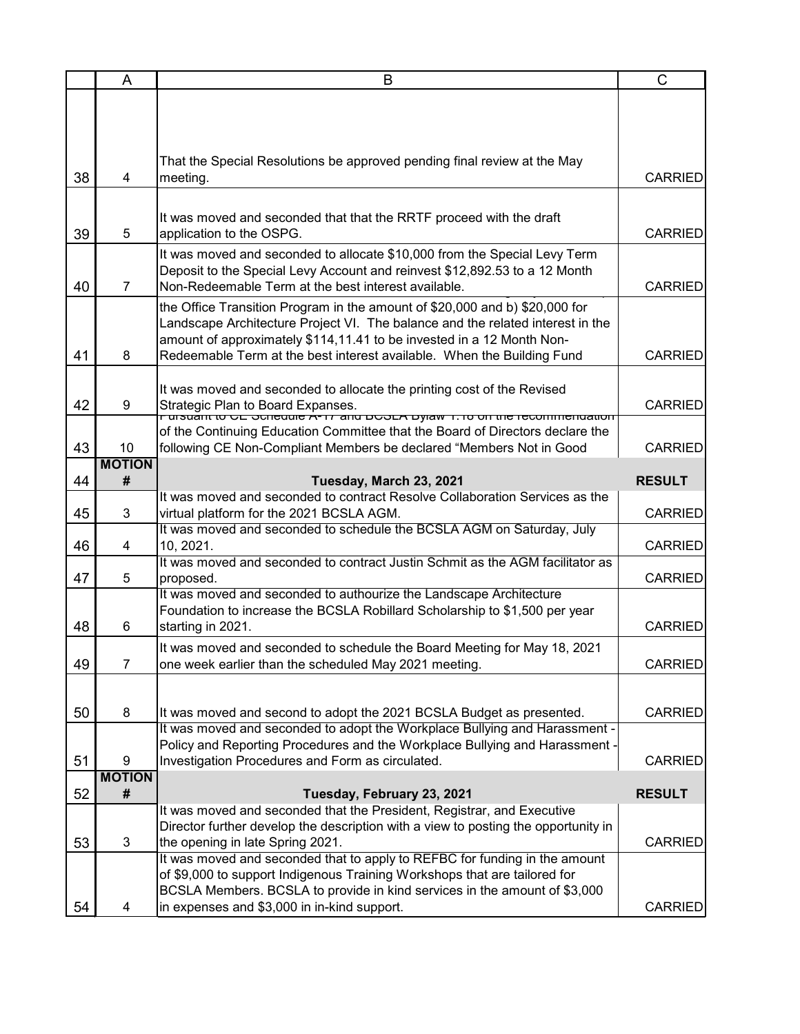|    | A              | B                                                                                                                                     | $\mathsf C$    |
|----|----------------|---------------------------------------------------------------------------------------------------------------------------------------|----------------|
|    |                |                                                                                                                                       |                |
|    |                |                                                                                                                                       |                |
|    |                |                                                                                                                                       |                |
|    |                |                                                                                                                                       |                |
| 38 | 4              | That the Special Resolutions be approved pending final review at the May<br>meeting.                                                  | <b>CARRIED</b> |
|    |                |                                                                                                                                       |                |
|    |                |                                                                                                                                       |                |
|    |                | It was moved and seconded that that the RRTF proceed with the draft                                                                   |                |
| 39 | 5              | application to the OSPG.                                                                                                              | <b>CARRIED</b> |
|    |                | It was moved and seconded to allocate \$10,000 from the Special Levy Term                                                             |                |
|    |                | Deposit to the Special Levy Account and reinvest \$12,892.53 to a 12 Month                                                            |                |
| 40 | $\overline{7}$ | Non-Redeemable Term at the best interest available.                                                                                   | <b>CARRIED</b> |
|    |                | the Office Transition Program in the amount of \$20,000 and b) \$20,000 for                                                           |                |
|    |                | Landscape Architecture Project VI. The balance and the related interest in the                                                        |                |
|    |                | amount of approximately \$114,11.41 to be invested in a 12 Month Non-                                                                 |                |
| 41 | 8              | Redeemable Term at the best interest available. When the Building Fund                                                                | <b>CARRIED</b> |
|    |                |                                                                                                                                       |                |
|    | 9              | It was moved and seconded to allocate the printing cost of the Revised                                                                | <b>CARRIED</b> |
| 42 |                | Strategic Plan to Board Expanses.<br>רעו אט סיסטווויט כב סטופטשופ א <i>י</i> ווי מוש סטסבא סאָומאַ ו. וס טוו נוופ ופּטטווווופווטמעטוו |                |
|    |                | of the Continuing Education Committee that the Board of Directors declare the                                                         |                |
| 43 | 10             | following CE Non-Compliant Members be declared "Members Not in Good                                                                   | <b>CARRIED</b> |
|    | <b>MOTION</b>  |                                                                                                                                       |                |
| 44 | #              | Tuesday, March 23, 2021                                                                                                               | <b>RESULT</b>  |
|    |                | It was moved and seconded to contract Resolve Collaboration Services as the                                                           |                |
| 45 | 3              | virtual platform for the 2021 BCSLA AGM.                                                                                              | <b>CARRIED</b> |
|    |                | It was moved and seconded to schedule the BCSLA AGM on Saturday, July                                                                 |                |
| 46 | 4              | 10, 2021.<br>It was moved and seconded to contract Justin Schmit as the AGM facilitator as                                            | <b>CARRIED</b> |
| 47 | 5              | proposed.                                                                                                                             | <b>CARRIED</b> |
|    |                | It was moved and seconded to authourize the Landscape Architecture                                                                    |                |
|    |                | Foundation to increase the BCSLA Robillard Scholarship to \$1,500 per year                                                            |                |
| 48 | 6              | starting in 2021.                                                                                                                     | <b>CARRIED</b> |
|    |                | It was moved and seconded to schedule the Board Meeting for May 18, 2021                                                              |                |
| 49 | $\overline{7}$ | one week earlier than the scheduled May 2021 meeting.                                                                                 | <b>CARRIED</b> |
|    |                |                                                                                                                                       |                |
|    |                |                                                                                                                                       |                |
| 50 | 8              | It was moved and second to adopt the 2021 BCSLA Budget as presented.                                                                  | <b>CARRIED</b> |
|    |                | It was moved and seconded to adopt the Workplace Bullying and Harassment -                                                            |                |
|    |                | Policy and Reporting Procedures and the Workplace Bullying and Harassment -                                                           |                |
| 51 | 9              | Investigation Procedures and Form as circulated.                                                                                      | <b>CARRIED</b> |
|    | <b>MOTION</b>  |                                                                                                                                       |                |
| 52 | #              | Tuesday, February 23, 2021                                                                                                            | <b>RESULT</b>  |
|    |                | It was moved and seconded that the President, Registrar, and Executive                                                                |                |
| 53 | 3              | Director further develop the description with a view to posting the opportunity in<br>the opening in late Spring 2021.                | <b>CARRIED</b> |
|    |                | It was moved and seconded that to apply to REFBC for funding in the amount                                                            |                |
|    |                | of \$9,000 to support Indigenous Training Workshops that are tailored for                                                             |                |
|    |                | BCSLA Members. BCSLA to provide in kind services in the amount of \$3,000                                                             |                |
| 54 | 4              | in expenses and \$3,000 in in-kind support.                                                                                           | <b>CARRIED</b> |